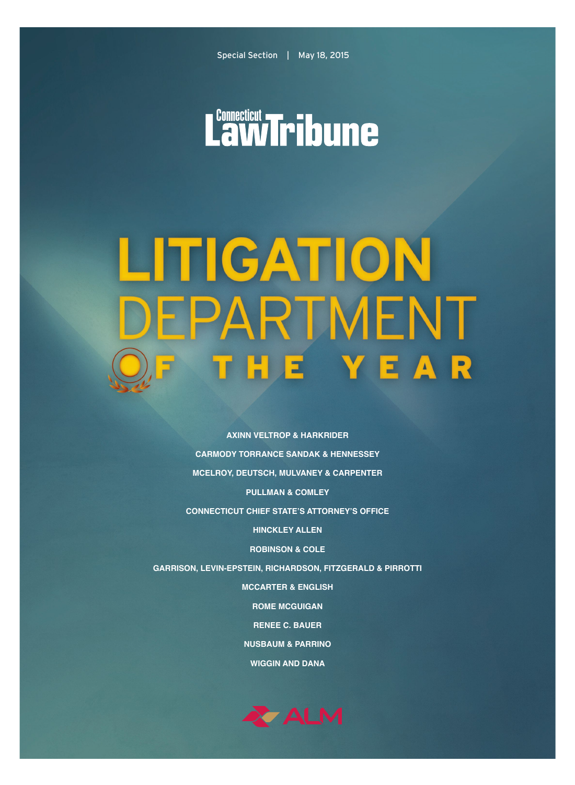# Lawfribune

## LITIGATION EPARTMENT **THE YEAR**  $\overline{a}$

**AXINN VELTROP & HARKRIDER CARMODY TORRANCE SANDAK & HENNESSEY MCELROY, DEUTSCH, MULVANEY & CARPENTER PULLMAN & COMLEY CONNECTICUT CHIEF STATE'S ATTORNEY'S OFFICE HINCKLEY ALLEN ROBINSON & COLE GARRISON, LEVIN-EPSTEIN, RICHARDSON, FITZGERALD & PIRROTTI MCCARTER & ENGLISH ROME MCGUIGAN RENEE C. BAUER NUSBAUM & PARRINO WIGGIN AND DANA**